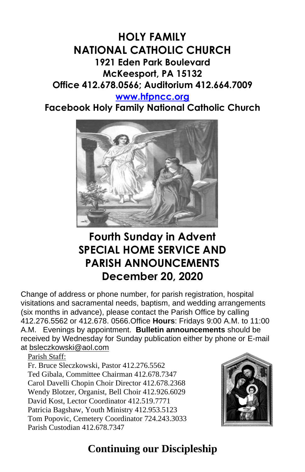# **HOLY FAMILY NATIONAL CATHOLIC CHURCH 1921 Eden Park Boulevard McKeesport, PA 15132 Office 412.678.0566; Auditorium 412.664.7009**

#### **[www.hfpncc.org](http://www.hfpncc.org/)**

**Facebook Holy Family National Catholic Church**



# **Fourth Sunday in Advent SPECIAL HOME SERVICE AND PARISH ANNOUNCEMENTS December 20, 2020**

Change of address or phone number, for parish registration, hospital visitations and sacramental needs, baptism, and wedding arrangements (six months in advance), please contact the Parish Office by calling 412.276.5562 or 412.678. 0566.Office **Hours**: Fridays 9:00 A.M. to 11:00 A.M. Evenings by appointment. **Bulletin announcements** should be received by Wednesday for Sunday publication either by phone or E-mail at [bsleczkowski@aol.com](mailto:bsleczkowski@aol.com)

Parish Staff:

Fr. Bruce Sleczkowski, Pastor 412.276.5562 Ted Gibala, Committee Chairman 412.678.7347 Carol Davelli Chopin Choir Director 412.678.2368 Wendy Blotzer, Organist, Bell Choir 412.926.6029 David Kost, Lector Coordinator 412.519.7771 Patricia Bagshaw, Youth Ministry 412.953.5123 Tom Popovic, Cemetery Coordinator 724.243.3033 Parish Custodian 412.678.7347



# **Continuing our Discipleship**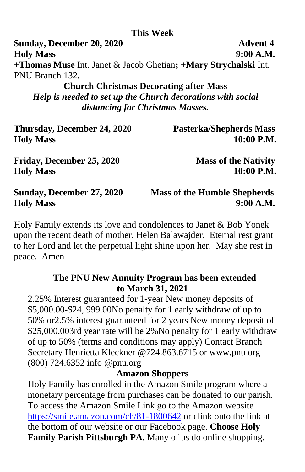### **This Week**

**Sunday, December 20, 2020 Advent 4 Holy Mass 9:00 A.M. +Thomas Muse** Int. Janet & Jacob Ghetian**; +Mary Strychalski** Int. PNU Branch 132.

### **Church Christmas Decorating after Mass**

*Help is needed to set up the Church decorations with social distancing for Christmas Masses.*

| Thursday, December 24, 2020<br><b>Holy Mass</b> | <b>Pasterka/Shepherds Mass</b><br>10:00 P.M. |
|-------------------------------------------------|----------------------------------------------|
|                                                 |                                              |
| <b>Holy Mass</b>                                | 10:00 P.M.                                   |
| Sunday, December 27, 2020                       | <b>Mass of the Humble Shepherds</b>          |
| <b>Holy Mass</b>                                | 9:00 A.M.                                    |

Holy Family extends its love and condolences to Janet & Bob Yonek upon the recent death of mother, Helen Balawajder. Eternal rest grant to her Lord and let the perpetual light shine upon her. May she rest in peace. Amen

### **The PNU New Annuity Program has been extended to March 31, 2021**

2.25% Interest guaranteed for 1-year New money deposits of \$5,000.00-\$24, 999.00No penalty for 1 early withdraw of up to 50% or2.5% interest guaranteed for 2 years New money deposit of \$25,000.003rd year rate will be 2%No penalty for 1 early withdraw of up to 50% (terms and conditions may apply) Contact Branch Secretary Henrietta Kleckner @724.863.6715 or www.pnu org (800) 724.6352 info @pnu.org

#### **Amazon Shoppers**

Holy Family has enrolled in the Amazon Smile program where a monetary percentage from purchases can be donated to our parish. To access the Amazon Smile Link go to the Amazon website <https://smile.amazon.com/ch/81-1800642> or clink onto the link at the bottom of our website or our Facebook page. **Choose Holy Family Parish Pittsburgh PA.** Many of us do online shopping,